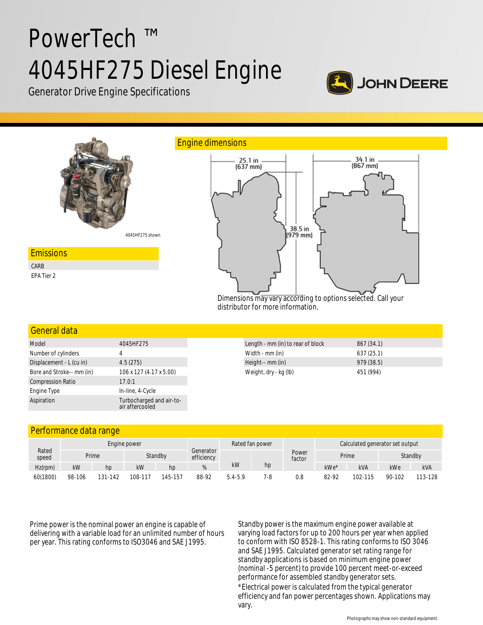# PowerTech ™ 4045HF275 Diesel Engine



Generator Drive Engine Specifications



## General data

| Model                     | 4045HF275                                   |  |  |  |  |
|---------------------------|---------------------------------------------|--|--|--|--|
| Number of cylinders       | 4                                           |  |  |  |  |
| Displacement - L (cu in)  | 4.5(275)                                    |  |  |  |  |
| Bore and Stroke-- mm (in) | 106 x 127 (4.17 x 5.00)                     |  |  |  |  |
| <b>Compression Ratio</b>  | 17.0:1                                      |  |  |  |  |
| Engine Type               | In-line, 4-Cycle                            |  |  |  |  |
| Aspiration                | Turbocharged and air-to-<br>air aftercooled |  |  |  |  |

| Length - mm (in) to rear of block | 867(34.1)  |  |
|-----------------------------------|------------|--|
| Width - mm (in)                   | 637(25.1)  |  |
| Height-- mm (in)                  | 979 (38.5) |  |
| Weight, dry - kg (lb)             | 451 (994)  |  |

## Performance data range

|                | Engine power |         |         |         |                         | Rated fan power |     |                 | Calculated generator set output |            |         |            |
|----------------|--------------|---------|---------|---------|-------------------------|-----------------|-----|-----------------|---------------------------------|------------|---------|------------|
| Rated<br>speed | Prime        |         |         | Standby | Generator<br>efficiency |                 |     | Power<br>factor | Prime                           |            | Standby |            |
| Hz(rpm)        | kW           | hp      | kW      | hp      |                         | kW              | hp  |                 | kWe*                            | <b>kVA</b> | kWe     | <b>kVA</b> |
| 60(1800)       | 98-106       | 131-142 | 108-117 | 145-157 | 88-92                   | $5.4 - 5.9$     | 7-8 | 0.8             | 82-92                           | 102-115    | 90-102  | 113-128    |

Prime power is the nominal power an engine is capable of delivering with a variable load for an unlimited number of hours per year. This rating conforms to ISO3046 and SAE J1995.

Standby power is the maximum engine power available at varying load factors for up to 200 hours per year when applied to conform with ISO 8528-1. This rating conforms to ISO 3046 and SAE J1995. Calculated generator set rating range for standby applications is based on minimum engine power (nominal -5 percent) to provide 100 percent meet-or-exceed performance for assembled standby generator sets. \*Electrical power is calculated from the typical generator efficiency and fan power percentages shown. Applications may vary.